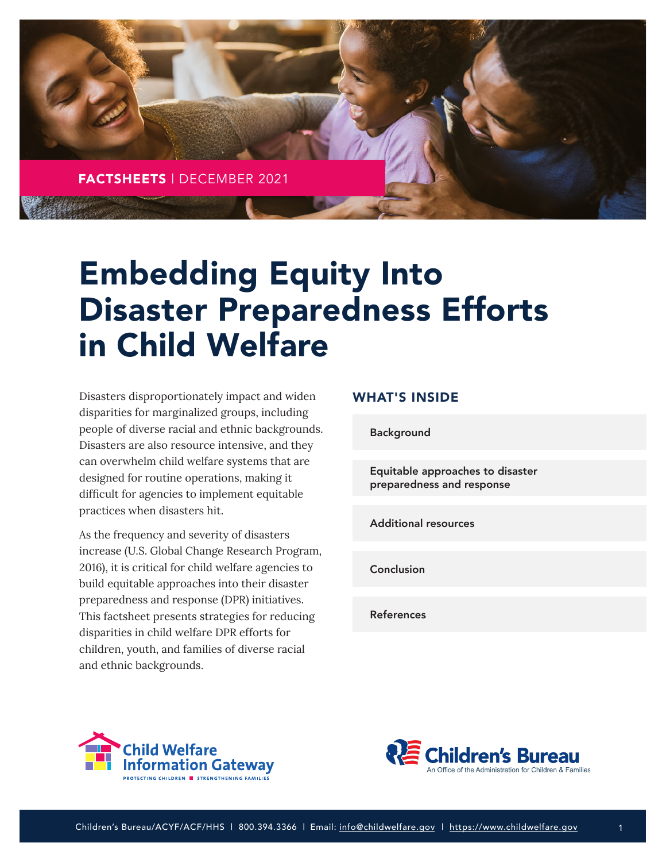

# Embedding Equity Into Disaster Preparedness Efforts in Child Welfare

Disasters disproportionately impact and widen disparities for marginalized groups, including people of diverse racial and ethnic backgrounds. Disasters are also resource intensive, and they can overwhelm child welfare systems that are designed for routine operations, making it difficult for agencies to implement equitable practices when disasters hit.

As the frequency and severity of disasters increase (U.S. Global Change Research Program, 2016), it is critical for child welfare agencies to build equitable approaches into their disaster preparedness and response (DPR) initiatives. This factsheet presents strategies for reducing disparities in child welfare DPR efforts for children, youth, and families of diverse racial and ethnic backgrounds.

## WHAT'S INSIDE

[Background](#page-1-0)

[Equitable approaches to disaster](#page-1-0) preparedness and response

[Additional resources](#page-3-0)

[Conclusion](#page-4-0)

[References](#page-4-0)





1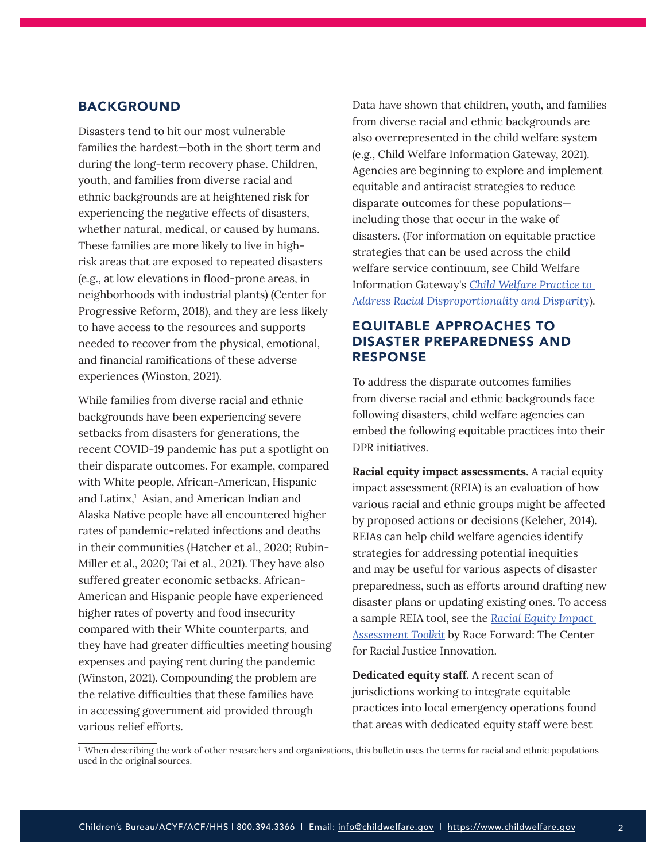## <span id="page-1-0"></span>BACKGROUND

Disasters tend to hit our most vulnerable families the hardest—both in the short term and during the long-term recovery phase. Children, youth, and families from diverse racial and ethnic backgrounds are at heightened risk for experiencing the negative effects of disasters, whether natural, medical, or caused by humans. These families are more likely to live in highrisk areas that are exposed to repeated disasters (e.g., at low elevations in flood-prone areas, in neighborhoods with industrial plants) (Center for Progressive Reform, 2018), and they are less likely to have access to the resources and supports needed to recover from the physical, emotional, and financial ramifications of these adverse experiences (Winston, 2021).

While families from diverse racial and ethnic backgrounds have been experiencing severe setbacks from disasters for generations, the recent COVID-19 pandemic has put a spotlight on their disparate outcomes. For example, compared with White people, African-American, Hispanic and Latinx,<sup>1</sup> Asian, and American Indian and Alaska Native people have all encountered higher rates of pandemic-related infections and deaths in their communities (Hatcher et al., 2020; Rubin-Miller et al., 2020; Tai et al., 2021). They have also suffered greater economic setbacks. African-American and Hispanic people have experienced higher rates of poverty and food insecurity compared with their White counterparts, and they have had greater difficulties meeting housing expenses and paying rent during the pandemic (Winston, 2021). Compounding the problem are the relative difficulties that these families have in accessing government aid provided through various relief efforts.

Data have shown that children, youth, and families from diverse racial and ethnic backgrounds are also overrepresented in the child welfare system (e.g., Child Welfare Information Gateway, 2021). Agencies are beginning to explore and implement equitable and antiracist strategies to reduce disparate outcomes for these populations including those that occur in the wake of disasters. (For information on equitable practice strategies that can be used across the child welfare service continuum, see Child Welfare Information Gateway's *[Child Welfare Practice to](https://www.childwelfare.gov/pubs/issue-briefs/racial-disproportionality/)  [Address Racial Disproportionality and Disparity](https://www.childwelfare.gov/pubs/issue-briefs/racial-disproportionality/)*).

# EQUITABLE APPROACHES TO DISASTER PREPAREDNESS AND RESPONSE

To address the disparate outcomes families from diverse racial and ethnic backgrounds face following disasters, child welfare agencies can embed the following equitable practices into their DPR initiatives.

**Racial equity impact assessments.** A racial equity impact assessment (REIA) is an evaluation of how various racial and ethnic groups might be affected by proposed actions or decisions (Keleher, 2014). REIAs can help child welfare agencies identify strategies for addressing potential inequities and may be useful for various aspects of disaster preparedness, such as efforts around drafting new disaster plans or updating existing ones. To access a sample REIA tool, see the *[Racial Equity Impact](https://www.raceforward.org/practice/tools/racial-equity-impact-assessment-toolkit)  [Assessment Toolkit](https://www.raceforward.org/practice/tools/racial-equity-impact-assessment-toolkit)* by Race Forward: The Center for Racial Justice Innovation.

**Dedicated equity staff.** A recent scan of jurisdictions working to integrate equitable practices into local emergency operations found that areas with dedicated equity staff were best

<sup>&</sup>lt;sup>1</sup> When describing the work of other researchers and organizations, this bulletin uses the terms for racial and ethnic populations used in the original sources.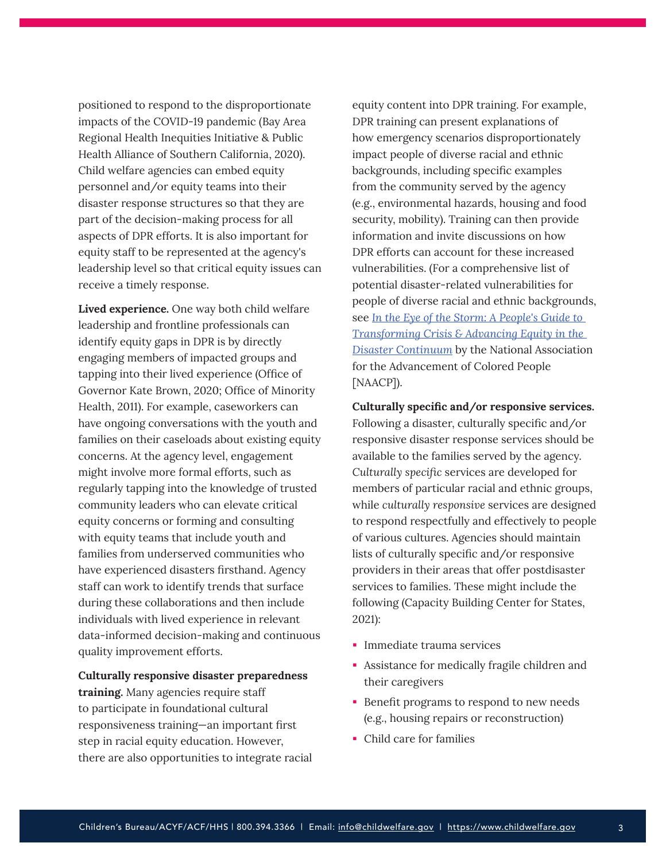positioned to respond to the disproportionate impacts of the COVID-19 pandemic (Bay Area Regional Health Inequities Initiative & Public Health Alliance of Southern California, 2020). Child welfare agencies can embed equity personnel and/or equity teams into their disaster response structures so that they are part of the decision-making process for all aspects of DPR efforts. It is also important for equity staff to be represented at the agency's leadership level so that critical equity issues can receive a timely response.

**Lived experience.** One way both child welfare leadership and frontline professionals can identify equity gaps in DPR is by directly engaging members of impacted groups and tapping into their lived experience (Office of Governor Kate Brown, 2020; Office of Minority Health, 2011). For example, caseworkers can have ongoing conversations with the youth and families on their caseloads about existing equity concerns. At the agency level, engagement might involve more formal efforts, such as regularly tapping into the knowledge of trusted community leaders who can elevate critical equity concerns or forming and consulting with equity teams that include youth and families from underserved communities who have experienced disasters firsthand. Agency staff can work to identify trends that surface during these collaborations and then include individuals with lived experience in relevant data-informed decision-making and continuous quality improvement efforts.

#### **Culturally responsive disaster preparedness**

**training.** Many agencies require staff to participate in foundational cultural responsiveness training—an important first step in racial equity education. However, there are also opportunities to integrate racial equity content into DPR training. For example, DPR training can present explanations of how emergency scenarios disproportionately impact people of diverse racial and ethnic backgrounds, including specific examples from the community served by the agency (e.g., environmental hazards, housing and food security, mobility). Training can then provide information and invite discussions on how DPR efforts can account for these increased vulnerabilities. (For a comprehensive list of potential disaster-related vulnerabilities for people of diverse racial and ethnic backgrounds, see *[In the Eye of the Storm: A People](https://naacp.org/resources/eye-storm-peoples-guide-transforming-crisis-advancing-equity-disaster-continuum)*'*s Guide to [Transforming Crisis & Advancing Equity in the](https://naacp.org/resources/eye-storm-peoples-guide-transforming-crisis-advancing-equity-disaster-continuum)  [Disaster Continuum](https://naacp.org/resources/eye-storm-peoples-guide-transforming-crisis-advancing-equity-disaster-continuum)* by the National Association for the Advancement of Colored People [NAACP]).

**Culturally specific and/or responsive services.**  Following a disaster, culturally specific and/or responsive disaster response services should be available to the families served by the agency. *Culturally specific* services are developed for members of particular racial and ethnic groups, while *culturally responsive* services are designed to respond respectfully and effectively to people of various cultures. Agencies should maintain lists of culturally specific and/or responsive providers in their areas that offer postdisaster services to families. These might include the following (Capacity Building Center for States, 2021):

- **Immediate trauma services**
- Assistance for medically fragile children and their caregivers
- **Benefit programs to respond to new needs** (e.g., housing repairs or reconstruction)
- Child care for families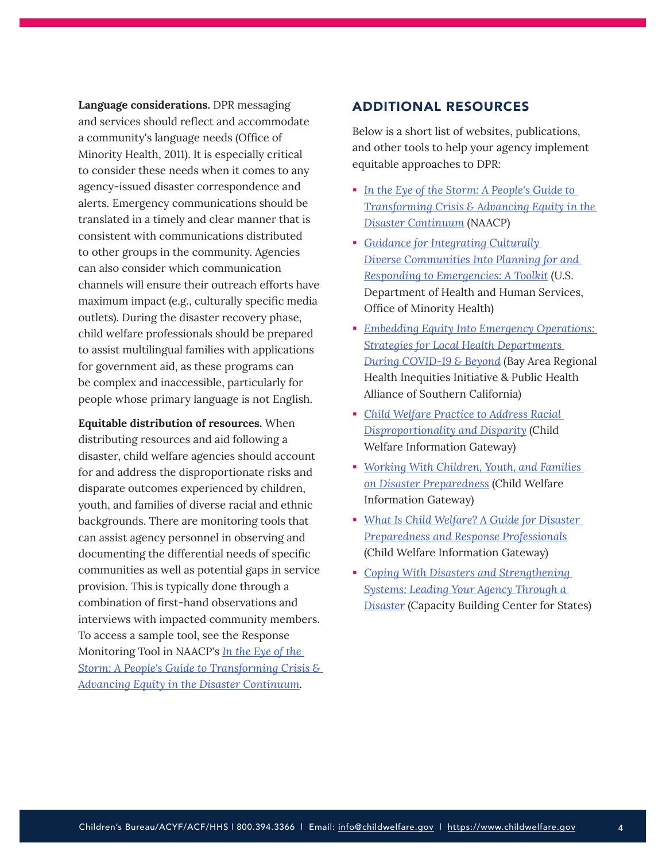<span id="page-3-0"></span>**Language considerations.** DPR messaging and services should reflect and accommodate a community's language needs (Office of Minority Health, 2011). It is especially critical to consider these needs when it comes to any agency-issued disaster correspondence and alerts. Emergency communications should be translated in a timely and clear manner that is consistent with communications distributed to other groups in the community. Agencies can also consider which communication channels will ensure their outreach efforts have maximum impact (e.g., culturally specific media outlets). During the disaster recovery phase, child welfare professionals should be prepared to assist multilingual families with applications for government aid, as these programs can be complex and inaccessible, particularly for people whose primary language is not English.

**Equitable distribution of resources.** When distributing resources and aid following a disaster, child welfare agencies should account for and address the disproportionate risks and disparate outcomes experienced by children, youth, and families of diverse racial and ethnic backgrounds. There are monitoring tools that can assist agency personnel in observing and documenting the differential needs of specific communities as well as potential gaps in service provision. This is typically done through a combination of first-hand observations and interviews with impacted community members. To access a sample tool, see the Response Monitoring Tool in NAACP's *[In the Eye of the](https://naacp.org/resources/eye-storm-peoples-guide-transforming-crisis-advancing-equity-disaster-continuum)  [Storm: A People's Guide to Transforming Crisis &](https://naacp.org/resources/eye-storm-peoples-guide-transforming-crisis-advancing-equity-disaster-continuum)  [Advancing Equity in the Disaster Continuum](https://naacp.org/resources/eye-storm-peoples-guide-transforming-crisis-advancing-equity-disaster-continuum)*.

## ADDITIONAL RESOURCES

Below is a short list of websites, publications, and other tools to help your agency implement equitable approaches to DPR:

- *[In the Eye of the Storm: A People](https://naacp.org/resources/eye-storm-peoples-guide-transforming-crisis-advancing-equity-disaster-continuum)*'*s Guide to [Transforming Crisis & Advancing Equity in the](https://naacp.org/resources/eye-storm-peoples-guide-transforming-crisis-advancing-equity-disaster-continuum)  [Disaster Continuum](https://naacp.org/resources/eye-storm-peoples-guide-transforming-crisis-advancing-equity-disaster-continuum)* (NAACP)
- *[Guidance for Integrating Culturally](https://www.aha.org/system/files/content/11/OMHDiversityPreparednesToolkit.pdf)  [Diverse Communities Into Planning for and](https://www.aha.org/system/files/content/11/OMHDiversityPreparednesToolkit.pdf)  [Responding to Emergencies: A Toolkit](https://www.aha.org/system/files/content/11/OMHDiversityPreparednesToolkit.pdf)* (U.S. Department of Health and Human Services, Office of Minority Health)
- *[Embedding Equity Into Emergency Operations:](https://phasocal.org/wp-content/uploads/2020/07/Embedding_Equity_Into_Emergency_Ops_Brief.pdf)  [Strategies for Local Health Departments](https://phasocal.org/wp-content/uploads/2020/07/Embedding_Equity_Into_Emergency_Ops_Brief.pdf)  [During COVID-19 & Beyond](https://phasocal.org/wp-content/uploads/2020/07/Embedding_Equity_Into_Emergency_Ops_Brief.pdf)* (Bay Area Regional Health Inequities Initiative & Public Health Alliance of Southern California)
- *[Child Welfare Practice to Address Racial](https://www.childwelfare.gov/pubs/issue-briefs/racial-disproportionality/)  [Disproportionality and Disparity](https://www.childwelfare.gov/pubs/issue-briefs/racial-disproportionality/)* (Child Welfare Information Gateway)
- *[Working With Children, Youth, and Families](https://www.childwelfare.gov/pubs/bulletins/disaster-preparedness/)  [on Disaster Preparedness](https://www.childwelfare.gov/pubs/bulletins/disaster-preparedness/)* (Child Welfare Information Gateway)
- *[What Is Child Welfare? A Guide for Disaster](https://www.childwelfare.gov/pubs/cw-disaster-preparedness/)  [Preparedness and Response Professionals](https://www.childwelfare.gov/pubs/cw-disaster-preparedness/)* (Child Welfare Information Gateway)
- *[Coping With Disasters and Strengthening](https://capacity.childwelfare.gov/states/resources/coping-systems)  [Systems: Leading Your Agency Through a](https://capacity.childwelfare.gov/states/resources/coping-systems)  [Disaster](https://capacity.childwelfare.gov/states/resources/coping-systems)* (Capacity Building Center for States)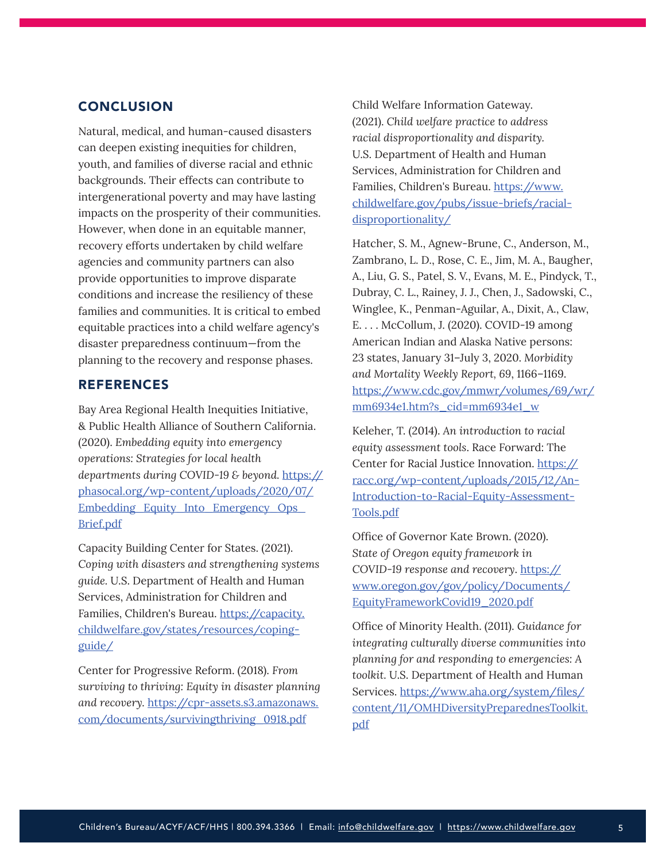## <span id="page-4-0"></span>**CONCLUSION**

Natural, medical, and human-caused disasters can deepen existing inequities for children, youth, and families of diverse racial and ethnic backgrounds. Their effects can contribute to intergenerational poverty and may have lasting impacts on the prosperity of their communities. However, when done in an equitable manner, recovery efforts undertaken by child welfare agencies and community partners can also provide opportunities to improve disparate conditions and increase the resiliency of these families and communities. It is critical to embed equitable practices into a child welfare agency's disaster preparedness continuum—from the planning to the recovery and response phases.

## REFERENCES

Bay Area Regional Health Inequities Initiative, & Public Health Alliance of Southern California. (2020). *Embedding equity into emergency operations: Strategies for local health departments during COVID-19 & beyond.* [https://](https://phasocal.org/wp-content/uploads/2020/07/Embedding_Equity_Into_Emergency_Ops_Brief.pdf) [phasocal.org/wp-content/uploads/2020/07/](https://phasocal.org/wp-content/uploads/2020/07/Embedding_Equity_Into_Emergency_Ops_Brief.pdf) [Embedding\\_Equity\\_Into\\_Emergency\\_Ops\\_](https://phasocal.org/wp-content/uploads/2020/07/Embedding_Equity_Into_Emergency_Ops_Brief.pdf) [Brief.pdf](https://phasocal.org/wp-content/uploads/2020/07/Embedding_Equity_Into_Emergency_Ops_Brief.pdf)

Capacity Building Center for States. (2021). *Coping with disasters and strengthening systems guide.* U.S. Department of Health and Human Services, Administration for Children and Families, Children's Bureau. [https://capacity.](https://capacity.childwelfare.gov/states/resources/coping-guide/) [childwelfare.gov/states/resources/coping](https://capacity.childwelfare.gov/states/resources/coping-guide/)[guide/](https://capacity.childwelfare.gov/states/resources/coping-guide/)

Center for Progressive Reform. (2018). *From surviving to thriving: Equity in disaster planning and recovery.* [https://cpr-assets.s3.amazonaws.](https://cpr-assets.s3.amazonaws.com/documents/survivingthriving_0918.pdf) [com/documents/survivingthriving\\_0918.pdf](https://cpr-assets.s3.amazonaws.com/documents/survivingthriving_0918.pdf)

Child Welfare Information Gateway. (2021). *Child welfare practice to address racial disproportionality and disparity.* U.S. Department of Health and Human Services, Administration for Children and Families, Children's Bureau. [https://www.](https://www.childwelfare.gov/pubs/issue-briefs/racial-disproportionality/) [childwelfare.gov/pubs/issue-briefs/racial](https://www.childwelfare.gov/pubs/issue-briefs/racial-disproportionality/)[disproportionality/](https://www.childwelfare.gov/pubs/issue-briefs/racial-disproportionality/)

Hatcher, S. M., Agnew-Brune, C., Anderson, M., Zambrano, L. D., Rose, C. E., Jim, M. A., Baugher, A., Liu, G. S., Patel, S. V., Evans, M. E., Pindyck, T., Dubray, C. L., Rainey, J. J., Chen, J., Sadowski, C., Winglee, K., Penman-Aguilar, A., Dixit, A., Claw, E. . . . McCollum, J. (2020). COVID-19 among American Indian and Alaska Native persons: 23 states, January 31–July 3, 2020. *Morbidity and Mortality Weekly Report, 69*, 1166–1169. [https://www.cdc.gov/mmwr/volumes/69/wr/](https://www.cdc.gov/mmwr/volumes/69/wr/mm6934e1.htm?s_cid=mm6934e1_w) [mm6934e1.htm?s\\_cid=mm6934e1\\_w](https://www.cdc.gov/mmwr/volumes/69/wr/mm6934e1.htm?s_cid=mm6934e1_w)

Keleher, T. (2014). *An introduction to racial equity assessment tools*. Race Forward: The Center for Racial Justice Innovation. [https://](https://racc.org/wp-content/uploads/2015/12/An-Introduction-to-Racial-Equity-Assessment-Tools.pdf) [racc.org/wp-content/uploads/2015/12/An-](https://racc.org/wp-content/uploads/2015/12/An-Introduction-to-Racial-Equity-Assessment-Tools.pdf)[Introduction-to-Racial-Equity-Assessment-](https://racc.org/wp-content/uploads/2015/12/An-Introduction-to-Racial-Equity-Assessment-Tools.pdf)[Tools.pdf](https://racc.org/wp-content/uploads/2015/12/An-Introduction-to-Racial-Equity-Assessment-Tools.pdf)

Office of Governor Kate Brown. (2020). *State of Oregon equity framework in COVID-19 response and recovery*. [https://](https://www.oregon.gov/gov/policy/Documents/EquityFrameworkCovid19_2020.pdf) [www.oregon.gov/gov/policy/Documents/](https://www.oregon.gov/gov/policy/Documents/EquityFrameworkCovid19_2020.pdf) [EquityFrameworkCovid19\\_2020.pdf](https://www.oregon.gov/gov/policy/Documents/EquityFrameworkCovid19_2020.pdf)

Office of Minority Health. (2011). *Guidance for integrating culturally diverse communities into planning for and responding to emergencies: A toolkit.* U.S. Department of Health and Human Services. [https://www.aha.org/system/files/](https://www.aha.org/system/files/content/11/OMHDiversityPreparednesToolkit.pdf) [content/11/OMHDiversityPreparednesToolkit.](https://www.aha.org/system/files/content/11/OMHDiversityPreparednesToolkit.pdf) [pdf](https://www.aha.org/system/files/content/11/OMHDiversityPreparednesToolkit.pdf)